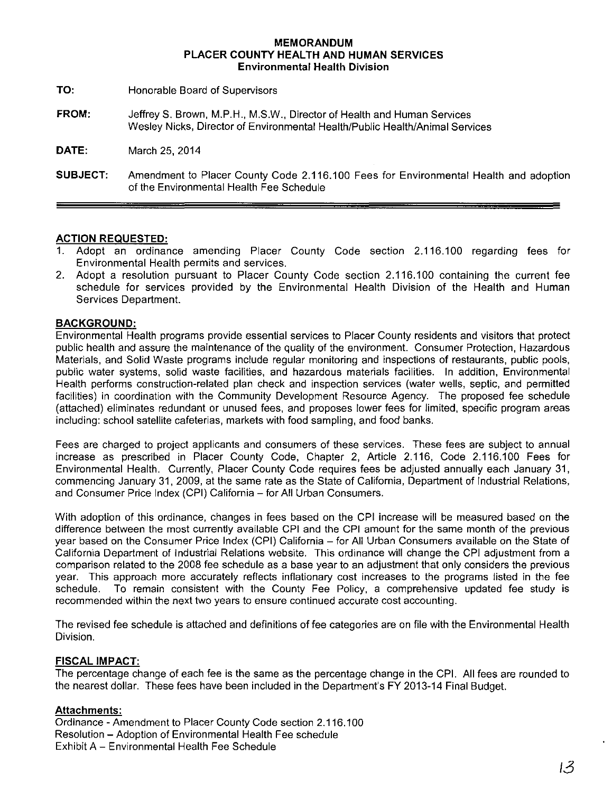#### **MEMORANDUM PLACER COUNTY HEALTH AND HUMAN SERVICES Environmental Health Division**

**TO:**  Honorable Board of Supervisors

**FROM:**  JeffreyS. Brown, M.P.H., M.S.W., Director of Health and Human Services Wesley Nicks, Director of Environmental Health/Public Health/Animal Services

**DATE:**  March 25, 2014

**SUBJECT:** Amendment to Placer County Code 2.116.100 Fees for Environmental Health and adoption of the Environmental Health Fee Schedule

### **ACTION REQUESTED:**

- 1. Adopt an ordinance amending Placer County Code section 2.116.100 regarding fees for Environmental Health permits and services.
- 2. Adopt a resolution pursuant to Placer County Code section 2.116.100 containing the current fee schedule for services provided by the Environmental Health Division of the Health and Human Services Department.

### **BACKGROUND:**

Environmental Health programs provide essential services to Placer County residents and visitors that protect public health and assure the maintenance of the quality of the environment. Consumer Protection, Hazardous Materials, and Solid Waste programs include regular monitoring and inspections of restaurants, public pools, public water systems, solid waste facilities, and hazardous materials facilities. In addition, Environmental Health performs construction-related plan check and inspection services (water wells, septic, and permitted facilities) in coordination with the Community Development Resource Agency. The proposed fee schedule (attached) eliminates redundant or unused fees, and proposes lower fees for limited, specific program areas including: school satellite cafeterias, markets with food sampling, and food banks.

Fees are charged to project applicants and consumers of these services. These fees are subject to annual increase as prescribed in Placer County Code, Chapter 2, Article 2.116, Code 2.116.100 Fees for Environmental Health. Currently, Placer County Code requires fees be adjusted annually each January 31, commencing January 31, 2009, at the same rate as the State of California, Department of Industrial Relations, and Consumer Price Index (CPI) California - for All Urban Consumers.

With adoption of this ordinance, changes in fees based on the CPI increase will be measured based on the difference between the most currently available CPI and the CPI amount for the same month of the previous year based on the Consumer Price Index (CPI) California - for All Urban Consumers available on the State of California Department of Industrial Relations website. This ordinance will change the CPI adjustment from a comparison related to the 2008 fee schedule as a base year to an adjustment that only considers the previous year. This approach more accurately reflects inflationary cost increases to the programs listed in the fee schedule. To remain consistent with the County Fee Policy, a comprehensive updated fee study is recommended within the next two years to ensure continued accurate cost accounting.

The revised fee schedule is attached and definitions of fee categories are on file with the Environmental Health Division.

#### **FISCAL IMPACT:**

The percentage change of each fee is the same as the percentage change in the CPl. All fees are rounded to the nearest dollar. These fees have been included in the Department's FY 2013-14 Final Budget.

#### **Attachments:**

Ordinance -Amendment to Placer County Code section 2.116.100 Resolution -Adoption of Environmental Health Fee schedule Exhibit A- Environmental Health Fee Schedule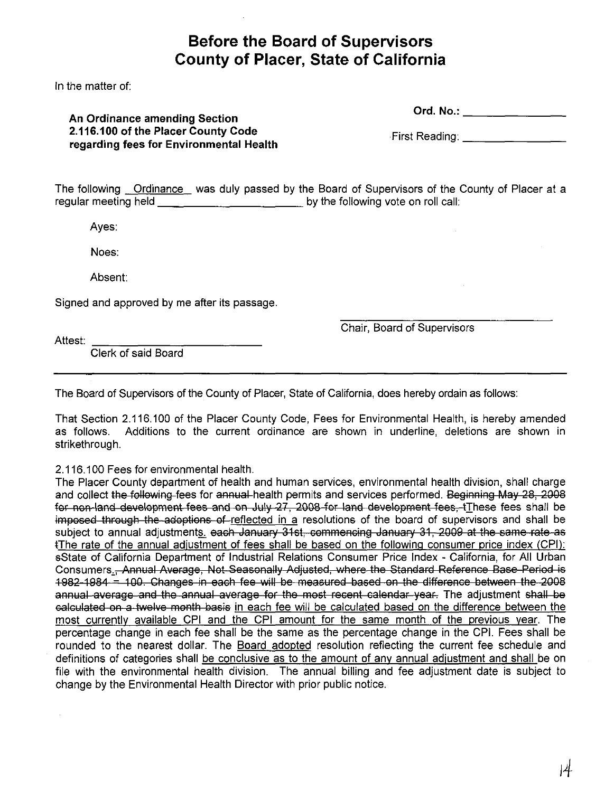# **Before the Board of Supervisors County of Placer, State of California**

In the matter of:

## **An Ordinance amending Section 2.116.100 of the Placer County Code regarding fees for Environmental Health**

Ord. No.: \_\_\_\_\_\_\_\_\_\_\_\_\_\_\_\_\_

 $\cdot$ First Reading: \_\_\_\_\_\_\_\_\_\_

The following Ordinance was duly passed by the Board of Supervisors of the County of Placer at a regular meeting held **by the following vote on roll call:** 

Ayes:

Noes:

Absent:

Signed and approved by me after its passage.

Chair, Board of Supervisors

Attest:

Clerk of said Board

The Board of Supervisors of the County of Placer, State of California, does hereby ordain as follows:

That Section 2.116.100 of the Placer County Code, Fees for Environmental Health, is hereby amended as follows. Additions to the current ordinance are shown in underline, deletions are shown in strikethrough.

2.116.100 Fees for environmental health.

The Placer County department of health and human services, environmental health division, shall charge and collect the following fees for annual health permits and services performed. Beginning May 28, 2008 for non-land development fees and on July 27, 2008 for land development fees, tThese fees shall be imposed through the adoptions of reflected in a resolutions of the board of supervisors and shall be subject to annual adjustments, each January 31st, commencing January 31, 2009 at the same rate as tThe rate of the annual adjustment of fees shall be based on the following consumer price index (CPI): sState of California Department of Industrial Relations Consumer Price Index - California, for All Urban Consumers., Annual Average, Not Seasonally Adjusted, where the Standard Reference Base Period is 1982-1984 = 100. Changes in each fee will be measured based on the difference between the 2008 annual average and the annual average for the most recent calendar year. The adjustment shall be calculated on a twelve month basis in each fee will be calculated based on the difference between the most currently available CPI and the CPI amount for the same month of the previous year. The percentage change in each fee shall be the same as the percentage change in the CPl. Fees shall be rounded to the nearest dollar. The Board adopted resolution reflecting the current fee schedule and definitions of categories shall be conclusive as to the amount of any annual adjustment and shall be on file with the environmental health division. The annual billing and fee adjustment date is subject to change by the Environmental Health Director with prior public notice.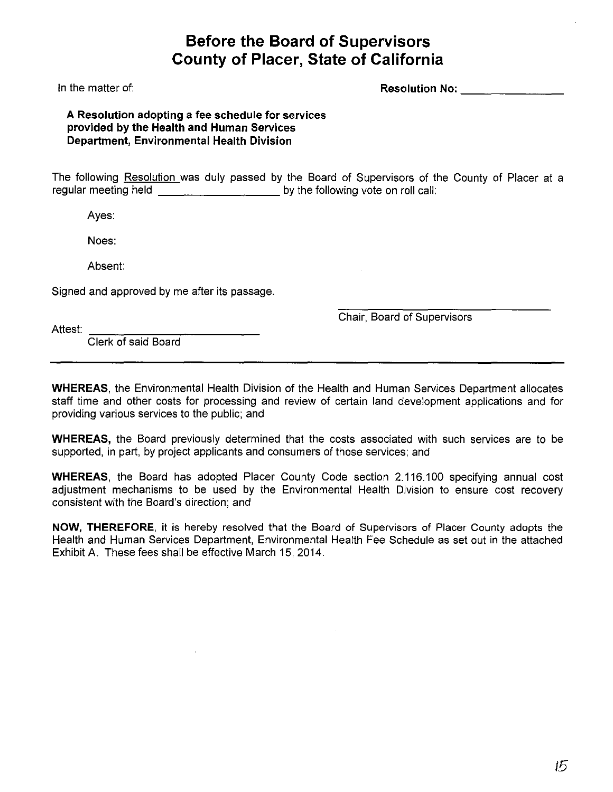# **Before the Board of Supervisors County of Placer, State of California**

In the matter of:

## **Resolution No:--------**

**A Resolution adopting a fee schedule for services provided by the Health and Human Services Department, Environmental Health Division** 

The following Resolution was duly passed by the Board of Supervisors of the County of Placer at a regular meeting held **by the following vote on roll call:** 

Ayes:

Noes:

Absent:

Signed and approved by me after its passage.

Chair, Board of Supervisors

Attest: =--:---:---:--:-=---,------ Clerk of said Board

**WHEREAS,** the Environmental Health Division of the Health and Human Services Department allocates staff time and other costs for processing and review of certain land development applications and for providing various services to the public; and

**WHEREAS,** the Board previously determined that the costs associated with such services are to be supported, in part, by project applicants and consumers of those services; and

**WHEREAS,** the Board has adopted Placer County Code section 2.116.100 specifying annual cost adjustment mechanisms to be used by the Environmental Health Division to ensure cost recovery consistent with the Board's direction; and

**NOW, THEREFORE,** it is hereby resolved that the Board of Supervisors of Placer County adopts the Health and Human Services Department, Environmental Health Fee Schedule as set out in the attached Exhibit A. These fees shall be effective March 15, 2014.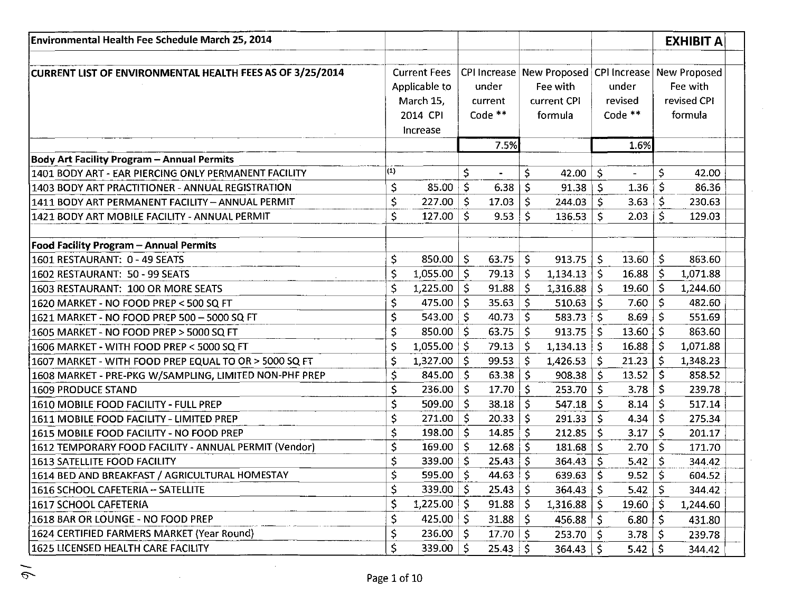| Environmental Health Fee Schedule March 25, 2014          |                   |                      |              |                |     |                                                           |              |           |                     | <b>EXHIBIT A</b> |  |
|-----------------------------------------------------------|-------------------|----------------------|--------------|----------------|-----|-----------------------------------------------------------|--------------|-----------|---------------------|------------------|--|
| CURRENT LIST OF ENVIRONMENTAL HEALTH FEES AS OF 3/25/2014 |                   | <b>Current Fees</b>  |              |                |     | CPI Increase   New Proposed   CPI Increase   New Proposed |              |           |                     |                  |  |
|                                                           |                   | Applicable to        |              | under          |     | Fee with                                                  |              | under     |                     | Fee with         |  |
|                                                           |                   | March 15,            |              | current        |     | current CPI                                               |              | revised   |                     | revised CPI      |  |
|                                                           |                   | 2014 CPI             |              | Code **        |     | formula                                                   |              | Code **   |                     | formula          |  |
|                                                           |                   | Increase             |              |                |     |                                                           |              |           |                     |                  |  |
|                                                           |                   |                      |              | 7.5%           |     |                                                           |              | 1.6%      |                     |                  |  |
| <b>Body Art Facility Program - Annual Permits</b>         |                   |                      |              |                |     |                                                           |              |           |                     |                  |  |
| 1401 BODY ART - EAR PIERCING ONLY PERMANENT FACILITY      | $\vert (1) \vert$ |                      | \$           |                | \$  | 42.00                                                     | \$           |           | \$                  | 42.00            |  |
| 1403 BODY ART PRACTITIONER - ANNUAL REGISTRATION          | \$                | $85.00$ \$           |              | 6.38           | \$  | 91.38                                                     | Š.           | 1.36      | \$                  | 86.36            |  |
| 1411 BODY ART PERMANENT FACILITY - ANNUAL PERMIT          | \$                | $227.00$ \$          |              | 17.03          | \$  | 244.03                                                    | $\mathsf{S}$ | 3.63      | \$                  | 230.63           |  |
| 1421 BODY ART MOBILE FACILITY - ANNUAL PERMIT             | \$                | 127.00               | $\mathsf{S}$ | 9.53           | Ś.  | 136.53                                                    | \$           | 2.03      | \$                  | 129.03           |  |
|                                                           |                   |                      |              |                |     |                                                           |              |           |                     |                  |  |
| <b>Food Facility Program - Annual Permits</b>             |                   |                      |              |                |     |                                                           |              |           |                     |                  |  |
| 1601 RESTAURANT: 0 - 49 SEATS                             | \$                | $850.00$   \$        |              | 63.75          | \$  | 913.75                                                    | -S           | 13.60     | $\ddot{\mathsf{S}}$ | 863.60           |  |
| 1602 RESTAURANT: 50 - 99 SEATS                            | \$                | $1,055.00$   \$      |              | 79.13          | \$  | 1,134.13                                                  | \$           | 16.88     | \$                  | 1,071.88         |  |
| 1603 RESTAURANT: 100 OR MORE SEATS                        | \$                | $1,225.00$   \$      |              | 91.88          | \$  | 1,316.88                                                  | -S           | 19.60     | \$                  | 1,244.60         |  |
| 1620 MARKET - NO FOOD PREP < 500 SQ FT                    | \$                | $475.00$   \$        |              | 35.63          | \$  | 510.63                                                    | <b>S</b>     | 7.60      | Ś                   | 482.60           |  |
| 1621 MARKET - NO FOOD PREP 500 - 5000 SQ FT               | \$                | 543.00               | -S           | 40.73          | \$  | 583.73                                                    | \$           | 8.69      |                     | 551.69           |  |
| 1605 MARKET - NO FOOD PREP > 5000 SQ FT                   | \$                | $850.00$ \$          |              | 63.75          | \$  | 913.75                                                    | -S           | 13.60     | \$                  | 863.60           |  |
| 1606 MARKET - WITH FOOD PREP < 5000 SQ FT                 | \$                | $1,055.00$   \$      |              | 79.13          | \$  | 1,134.13                                                  | l S          | 16.88     | \$                  | 1,071.88         |  |
| 1607 MARKET - WITH FOOD PREP EQUAL TO OR > 5000 SQ FT     | \$                | $1,327.00$   \$      |              | 99.53          | \$  | 1,426.53                                                  | .\$          | 21.23     | S                   | 1,348.23         |  |
| 1608 MARKET - PRE-PKG W/SAMPLING, LIMITED NON-PHF PREP    | \$                | 845.00 $\frac{1}{2}$ |              | 63.38          | \$  | 908.38                                                    | \$           | 13.52     | \$                  | 858.52           |  |
| 1609 PRODUCE STAND                                        | \$                | 236.00               | S.           | 17.70          | \$  | 253.70                                                    | Ŝ.           | 3.78      | \$                  | 239.78           |  |
| 1610 MOBILE FOOD FACILITY - FULL PREP                     | \$                | 509.00               | -Ś           | 38.18          | \$  | 547.18                                                    | Ŝ            | 8.14      | \$                  | 517.14           |  |
| 1611 MOBILE FOOD FACILITY - LIMITED PREP                  | \$                | $271.00$   \$        |              | 20.33          | \$  | 291.33                                                    | Ŝ.           | 4.34      | $\mathsf{S}$        | 275.34           |  |
| 1615 MOBILE FOOD FACILITY - NO FOOD PREP                  | \$                | $198.00$   \$        |              | 14.85          | \$  | 212.85                                                    | -S           | 3.17      | \$.                 | 201.17           |  |
| 1612 TEMPORARY FOOD FACILITY - ANNUAL PERMIT (Vendor)     | \$                | $169.00$   \$        |              | 12.68          | \$  | $181.68$ \$                                               |              | 2.70      | \$                  | 171.70           |  |
| 1613 SATELLITE FOOD FACILITY                              | \$                | 339.00               | -S           | 25.43          | \$  | 364.43                                                    | -\$          | 5.42      | \$                  | 344.42           |  |
| 1614 BED AND BREAKFAST / AGRICULTURAL HOMESTAY            | Ć                 | 595.00 $\vert$ \$    |              | 44.63          | \$  | 639.63 $\vert$ \$                                         |              | 9.52   \$ |                     | 604.52           |  |
| 1616 SCHOOL CAFETERIA -- SATELLITE                        | \$                | $339.00  $ \$        |              | 25.43          | -\$ | $364.43$ \$                                               |              | 5.42      | -\$                 | 344.42           |  |
| 1617 SCHOOL CAFETERIA                                     | \$                | $1,225.00$   \$      |              | 91.88          | -S  | $1,316.88$   \$                                           |              | 19.60     | -S                  | 1,244.60         |  |
| 1618 BAR OR LOUNGE - NO FOOD PREP                         | \$                | $425.00$   \$        |              | 31.88          | \$  | $456.88$ \ \$                                             |              | 6.80      | \$.                 | 431.80           |  |
| 1624 CERTIFIED FARMERS MARKET (Year Round)                | \$                | $236.00$   \$        |              | 17.70          | -S  | $253.70$   \$                                             |              | 3.78      |                     | 239.78           |  |
| 1625 LICENSED HEALTH CARE FACILITY                        | \$.               | 339.00 $\vert$ \$    |              | $25.43 \mid S$ |     | 364.43                                                    | Š.           | 5.42      |                     | 344.42           |  |

 $\mathbb{R}^2$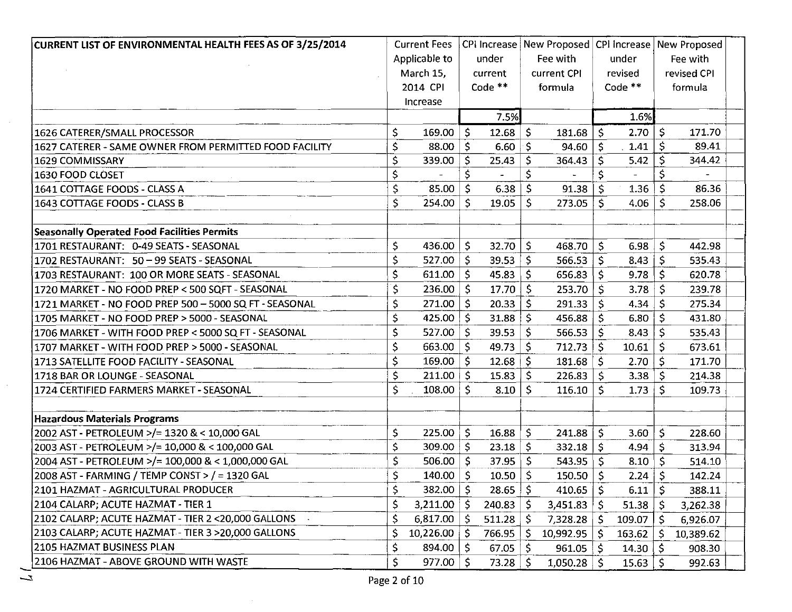| CURRENT LIST OF ENVIRONMENTAL HEALTH FEES AS OF 3/25/2014 |             | <b>Current Fees</b> |              |              |              | CPI Increase   New Proposed   CPI Increase   New Proposed |              |                         |              |             |
|-----------------------------------------------------------|-------------|---------------------|--------------|--------------|--------------|-----------------------------------------------------------|--------------|-------------------------|--------------|-------------|
|                                                           |             | Applicable to       |              | under        |              | Fee with                                                  |              | under                   |              | Fee with    |
|                                                           |             | March 15,           |              | current      |              | current CPI                                               |              | revised                 |              | revised CPI |
|                                                           |             | 2014 CPI            |              | Code **      |              | formula                                                   |              | Code $**$               |              | formula     |
|                                                           |             | Increase            |              |              |              |                                                           |              |                         |              |             |
|                                                           |             |                     |              | 7.5%         |              |                                                           |              | 1.6%                    |              |             |
| 1626 CATERER/SMALL PROCESSOR                              | Ş           | $169.00$   \$       |              | 12.68        | \$           | 181.68                                                    | Ŝ.           | 2.70                    | -S           | 171.70      |
| 1627 CATERER - SAME OWNER FROM PERMITTED FOOD FACILITY    | $\zeta$     | 88.00               | l \$         | 6.60         | -S           | 94.60                                                     | Ŝ.           | 1.41                    | \$.          | 89.41       |
| 1629 COMMISSARY                                           | $\varsigma$ | $339.00$   \$       |              | 25.43        | -S           | 364.43                                                    | \$           | 5.42                    | \$           | 344.42      |
| 1630 FOOD CLOSET                                          | $\varsigma$ |                     | \$           |              | Ś            |                                                           | \$           |                         |              |             |
| 1641 COTTAGE FOODS - CLASS A                              | \$          | 85.00               | $\mathsf{S}$ | $6.38$   \$  |              | 91.38                                                     | \$           | $1.36$   \$             |              | 86.36       |
| 1643 COTTAGE FOODS - CLASS B                              | \$          | 254.00              | \$.          | 19.05        | -S           | 273.05                                                    | Š.           | $4.06 \mid \frac{1}{2}$ |              | 258.06      |
| <b>Seasonally Operated Food Facilities Permits</b>        |             |                     |              |              |              |                                                           |              |                         |              |             |
| 1701 RESTAURANT: 0-49 SEATS - SEASONAL                    | \$          | 436.00              | l \$         | 32.70        | l \$         | 468.70                                                    | $\mathsf{S}$ | 6.98                    | \$           | 442.98      |
| 1702 RESTAURANT: 50 - 99 SEATS - SEASONAL                 | \$          | 527.00              | $\mathsf{S}$ | 39.53        | ١s           | 566.53                                                    | $\mathsf{S}$ | 8.43                    | Ś.           | 535.43      |
| 1703 RESTAURANT: 100 OR MORE SEATS - SEASONAL             | \$          | 611.00              | Ś            | 45.83        | -\$          | 656.83                                                    | Ś.           | 9.78                    | \$           | 620.78      |
| 1720 MARKET - NO FOOD PREP < 500 SQFT - SEASONAL          | \$          | 236.00              | -S           | 17.70        |              | 253.70                                                    | <sub>S</sub> | 3.78                    |              | 239.78      |
| 1721 MARKET - NO FOOD PREP 500 - 5000 SQ FT - SEASONAL    | \$          | $271.00$   \$       |              | $20.33$   \$ |              | 291.33                                                    | Š.           | 4.34 $\vert$ \$         |              | 275.34      |
| 1705 MARKET - NO FOOD PREP > 5000 - SEASONAL              | \$,         | 425.00 $\vert$ \$   |              | $31.88$   \$ |              | 456.88                                                    | Ŝ.           | 6.80                    | Ŝ.           | 431.80      |
| 1706 MARKET - WITH FOOD PREP < 5000 SQ FT - SEASONAL      | \$          | $527.00$   \$       |              | 39.53        | -S           | 566.53                                                    | $\mathsf{S}$ | 8.43                    | Ś.           | 535.43      |
| 1707 MARKET - WITH FOOD PREP > 5000 - SEASONAL            | \$          | $663.00$   \$       |              | 49.73        | -\$          | 712.73                                                    | Ŝ.           | 10.61                   | Š.           | 673.61      |
| 1713 SATELLITE FOOD FACILITY - SEASONAL                   | $\varsigma$ | $169.00$   \$       |              | 12.68        | -S           | 181.68                                                    | $\mathsf{S}$ | 2.70                    | Ŝ.           | 171.70      |
| 1718 BAR OR LOUNGE - SEASONAL                             | \$          | $211.00 \mid 5$     |              | $15.83$   \$ |              | 226.83                                                    | Ŝ.           | $3.38$ \$               |              | 214.38      |
| 1724 CERTIFIED FARMERS MARKET - SEASONAL                  | \$          | $108.00$   \$       |              | 8.10         | -\$          | 116.10                                                    | Ŝ.           | 1.73                    | S.           | 109.73      |
| <b>Hazardous Materials Programs</b>                       |             |                     |              |              |              |                                                           |              |                         |              |             |
| 2002 AST - PETROLEUM >/= 1320 & < 10,000 GAL              | $\mathsf S$ | $225.00$ \$         |              | 16.88        | $\mathsf{S}$ | 241.88                                                    | $\mathsf{S}$ | 3.60                    | \$           | 228.60      |
| 2003 AST - PETROLEUM >/= 10,000 & < 100,000 GAL           | \$          | $309.00$ \$         |              | $23.18$ \$   |              | 332.18                                                    | $\mathsf{S}$ | 4.94                    | $\mathsf{S}$ | 313.94      |
| 2004 AST - PETROLEUM >/= 100,000 & < 1,000,000 GAL        | \$          | 506.00              | $\mathsf{S}$ | $37.95$ \$   |              | 543.95                                                    | S.           | 8.10                    | Ŝ.           | 514.10      |
| 2008 AST - FARMING / TEMP CONST > / = 1320 GAL            | \$          | 140.00              | -S           | 10.50        | -Ś           | 150.50 $ $                                                | <b>S</b>     | $2.24$   \$             |              | 142.24      |
| 2101 HAZMAT - AGRICULTURAL PRODUCER                       | Ş           | 382.00              | $\varsigma$  | $28.65$ \$   |              | 410.65                                                    | \$           | 6.11                    | -\$          | 388.11      |
| 2104 CALARP; ACUTE HAZMAT - TIER 1                        | \$.         | 3,211.00            | -S           | 240.83       | -S           | 3,451.83                                                  |              | 51.38                   |              | 3,262.38    |
| 2102 CALARP: ACUTE HAZMAT - TIER 2 < 20,000 GALLONS       | \$          | 6,817.00            | -S           | 511.28       | - \$         | 7,328.28                                                  | -S           | 109.07                  | S.           | 6,926.07    |
| 2103 CALARP; ACUTE HAZMAT - TIER 3 > 20,000 GALLONS       | \$          | 10,226.00           |              | 766.95       | -S           | 10,992.95                                                 | -S           | 163.62                  | S            | 10,389.62   |
| 2105 HAZMAT BUSINESS PLAN                                 | \$          | 894.00              | l \$         | 67.05        | -\$          | 961.05                                                    |              | 14.30 $\frac{1}{2}$     |              | 908.30      |
| 2106 HAZMAT - ABOVE GROUND WITH WASTE                     | \$          | 977.00              | -S           | 73.28        | -S           | 1,050.28                                                  | -S           | 15.63                   |              | 992.63      |

 $\sim$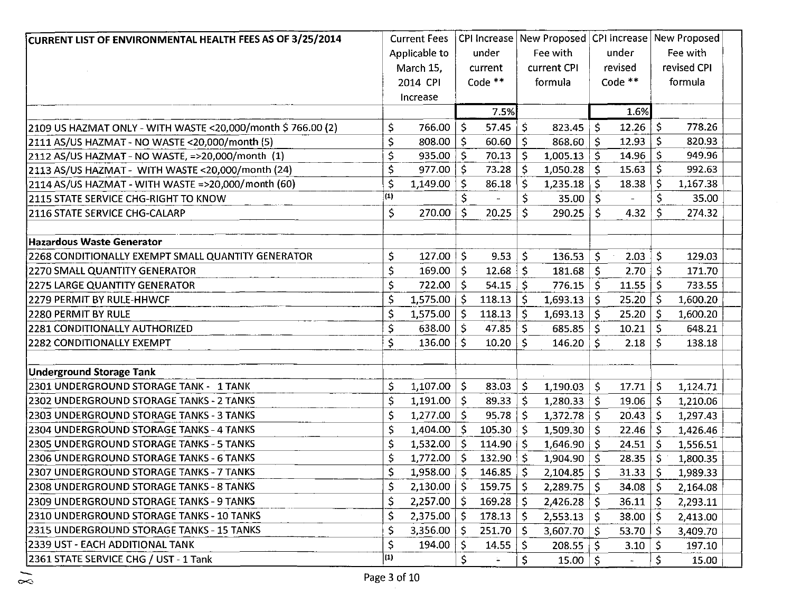| CURRENT LIST OF ENVIRONMENTAL HEALTH FEES AS OF 3/25/2014                 |                   | <b>Current Fees</b> |    |              |              | CPI Increase   New Proposed   CPI Increase   New Proposed |                     |                          |              |             |  |
|---------------------------------------------------------------------------|-------------------|---------------------|----|--------------|--------------|-----------------------------------------------------------|---------------------|--------------------------|--------------|-------------|--|
|                                                                           |                   | Applicable to       |    | under        |              | Fee with                                                  |                     | under                    |              | Fee with    |  |
|                                                                           |                   | March 15,           |    | current      |              | current CPI                                               |                     | revised                  |              | revised CPI |  |
|                                                                           |                   | 2014 CPI            |    | Code $**$    |              | formula                                                   |                     | Code **                  |              | formula     |  |
|                                                                           |                   | Increase            |    |              |              |                                                           |                     |                          |              |             |  |
|                                                                           |                   |                     |    | 7.5%         |              |                                                           |                     | 1.6%                     |              |             |  |
| 2109 US HAZMAT ONLY - WITH WASTE < 20,000/month \$766.00 (2)              | \$                | 766.00              | \$ | 57.45        | \$           | 823.45                                                    | -\$                 | 12.26                    | \$           | 778.26      |  |
| 2111 AS/US HAZMAT - NO WASTE < 20,000/month (5)                           | \$                | 808.00              | \$ | 60.60        | \$           | $868.60$   \$                                             |                     | 12.93                    | \$           | 820.93      |  |
| 2112 AS/US HAZMAT - NO WASTE, =>20,000/month (1)                          | \$                | 935.00              | \$ | 70.13        | \$           | 1,005.13                                                  | Ŝ.                  | 14.96                    | Ś            | 949.96      |  |
| 2113 AS/US HAZMAT - WITH WASTE < 20,000/month (24)                        | \$                | 977.00              | \$ | 73.28        | Ś            | $1,050.28$   \$                                           |                     | 15.63                    | S            | 992.63      |  |
| 2114 AS/US HAZMAT - WITH WASTE =>20,000/month (60)                        | \$                | 1,149.00            | \$ | 86.18        | \$           | $1,235.18$ \ \$                                           |                     | 18.38                    |              | 1,167.38    |  |
| 2115 STATE SERVICE CHG-RIGHT TO KNOW                                      | $\left( 1\right)$ |                     | \$ |              | \$           | $35.00 \mid \frac{1}{2}$                                  |                     |                          | \$           | 35.00       |  |
| 2116 STATE SERVICE CHG-CALARP                                             | \$                | 270.00              | \$ | 20.25        | Ś.           | 290.25                                                    | Ś.                  | 4.32                     | \$           | 274.32      |  |
|                                                                           |                   |                     |    |              |              |                                                           |                     |                          |              |             |  |
| Hazardous Waste Generator                                                 |                   |                     |    |              |              |                                                           |                     |                          |              |             |  |
| 2268 CONDITIONALLY EXEMPT SMALL QUANTITY GENERATOR                        | \$                | $127.00$   \$       |    | 9.53         | $\zeta$      | $136.53$ \$                                               |                     | 2.03                     | Ŝ            | 129.03      |  |
| 2270 SMALL QUANTITY GENERATOR                                             | \$                | 169.00              | \$ | 12.68        | \$           | $181.68$ \$                                               |                     | 2.70                     | $\mathsf{S}$ | 171.70      |  |
| 2275 LARGE QUANTITY GENERATOR                                             | \$                | $722.00$   \$       |    | 54.15        | Ŝ.           | $776.15$ \$                                               |                     | 11.55                    | \$           | 733.55      |  |
| 2279 PERMIT BY RULE-HHWCF                                                 | \$                | 1,575.00            | -S | 118.13       | \$           | 1,693.13                                                  | -S                  | 25.20                    | \$           | 1,600.20    |  |
| <b>2280 PERMIT BY RULE</b>                                                | \$                | $1,575.00$   \$     |    | 118.13       | Ś            | 1,693.13                                                  | $\mathsf{S}$        | 25.20                    | \$           | 1,600.20    |  |
| 2281 CONDITIONALLY AUTHORIZED                                             | \$                | $638.00$   \$       |    | 47.85        | \$           | 685.85                                                    | -S                  | 10.21                    | \$.          | 648.21      |  |
| 2282 CONDITIONALLY EXEMPT                                                 | \$                | 136.00              | Ŝ. | 10.20        | -Ŝ           | 146.20                                                    | -S                  | 2.18                     | -S           | 138.18      |  |
|                                                                           |                   |                     |    |              |              |                                                           |                     |                          |              |             |  |
| <b>Underground Storage Tank</b><br>2301 UNDERGROUND STORAGE TANK - 1 TANK |                   | 1,107.00            |    |              |              |                                                           |                     |                          |              |             |  |
|                                                                           | \$                |                     | \$ | 83.03        | \$.          | 1,190.03                                                  | $\ddot{\mathsf{s}}$ | 17.71                    | \$           | 1,124.71    |  |
| 2302 UNDERGROUND STORAGE TANKS - 2 TANKS                                  | \$                | $1,191.00$   \$     |    | 89.33        | \$           | $1,280.33$ \$                                             |                     | 19.06                    | -S           | 1,210.06    |  |
| 2303 UNDERGROUND STORAGE TANKS - 3 TANKS                                  | \$                | $1,277.00$   \$     |    | 95.78        | Ŝ.           | $1,372.78$   \$                                           |                     | 20.43                    | Š.           | 1,297.43    |  |
| 2304 UNDERGROUND STORAGE TANKS - 4 TANKS                                  | \$                | $1,404.00$   \$     |    | 105.30       | \$           | $1,509.30$ \$                                             |                     | 22.46                    | $\mathsf{S}$ | 1,426.46    |  |
| 2305 UNDERGROUND STORAGE TANKS - 5 TANKS                                  | \$                | $1,532.00$   \$     |    | 114.90       | $\mathsf{S}$ | $1,646.90$ \$                                             |                     | 24.51                    | -S           | 1,556.51    |  |
| 2306 UNDERGROUND STORAGE TANKS - 6 TANKS                                  | \$                | $1,772.00$   \$     |    | 132.90       | \$.          | $1,904.90  $ \$                                           |                     | 28.35                    | -Ŝ           | 1,800.35    |  |
| 2307 UNDERGROUND STORAGE TANKS - 7 TANKS                                  | \$                | 1,958.00            | -S | 146.85       | $\mathsf{S}$ | $2,104.85$   \$                                           |                     | 31.33                    | -\$          | 1,989.33    |  |
| 2308 UNDERGROUND STORAGE TANKS - 8 TANKS                                  | \$                | $2,130.00$   \$     |    | 159.75       | \$           | $2,289.75$   \$                                           |                     | 34.08                    | -S           | 2,164.08    |  |
| 2309 UNDERGROUND STORAGE TANKS - 9 TANKS                                  | \$                | $2,257.00$   \$     |    | 169.28       | \$           | $2,426.28$ \$                                             |                     | 36.11                    | \$.          | 2,293.11    |  |
| 2310 UNDERGROUND STORAGE TANKS - 10 TANKS                                 | \$                | $2,375.00$   \$     |    | 178.13       | -S           | 2,553.13                                                  | -S                  | 38.00                    | S            | 2,413.00    |  |
| 2315 UNDERGROUND STORAGE TANKS - 15 TANKS                                 | \$                | 3,356.00            | -Ş | 251.70       | S            | 3,607.70                                                  | -S                  | 53.70                    | -S           | 3,409.70    |  |
| 2339 UST - EACH ADDITIONAL TANK                                           | \$                | 194.00              | S  | 14.55        | \$,          | 208.55                                                    | -S                  | 3.10                     | -S           | 197.10      |  |
| 2361 STATE SERVICE CHG / UST - 1 Tank                                     | (1)               |                     | \$ | $\mathbf{L}$ | \$           | $15.00$   \$                                              |                     | $\overline{\phantom{a}}$ | \$           | 15.00       |  |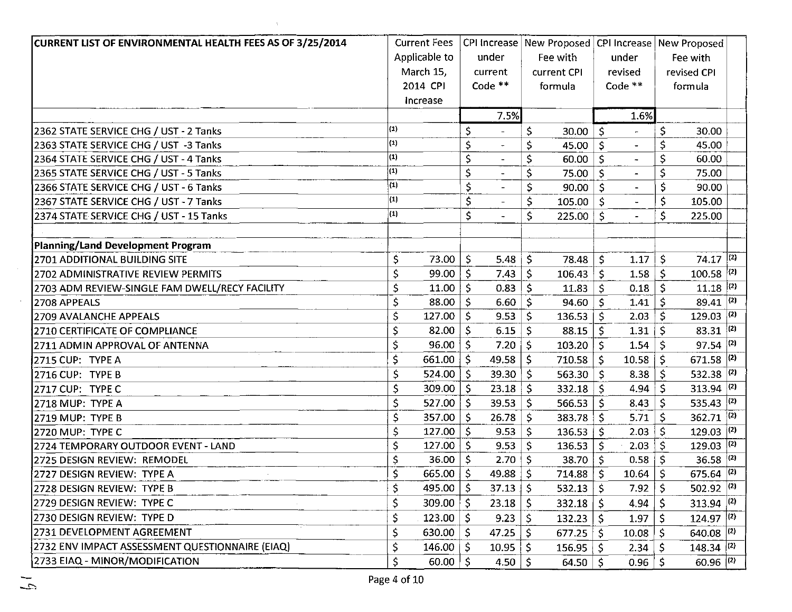| CURRENT LIST OF ENVIRONMENTAL HEALTH FEES AS OF 3/25/2014 |                | <b>Current Fees</b> |              |                |                    |                   |              |                          |                     | CPI Increase   New Proposed   CPI Increase   New Proposed |     |
|-----------------------------------------------------------|----------------|---------------------|--------------|----------------|--------------------|-------------------|--------------|--------------------------|---------------------|-----------------------------------------------------------|-----|
|                                                           |                | Applicable to       |              | under          |                    | Fee with          |              | under                    |                     | Fee with                                                  |     |
|                                                           |                | March 15,           |              | current        |                    | current CPI       |              | revised                  |                     | revised CPI                                               |     |
|                                                           |                | 2014 CPI            |              | Code $**$      |                    | formula           |              | Code $**$                |                     | formula                                                   |     |
|                                                           |                | Increase            |              |                |                    |                   |              |                          |                     |                                                           |     |
|                                                           |                |                     |              | 7.5%           |                    |                   |              | 1.6%                     |                     |                                                           |     |
| 2362 STATE SERVICE CHG / UST - 2 Tanks                    | (1)            |                     | \$           |                | \$                 | 30.00             | $\mathsf{S}$ | $\overline{\phantom{a}}$ | \$                  | 30.00                                                     |     |
| 2363 STATE SERVICE CHG / UST -3 Tanks                     | (1)            |                     | \$           |                | \$                 | 45.00             | \$           | $\ddot{\phantom{1}}$     | \$                  | 45.00                                                     |     |
| 2364 STATE SERVICE CHG / UST - 4 Tanks                    | $\overline{1}$ |                     | $\varsigma$  |                | \$                 | 60.00             | $\mathsf{S}$ |                          | \$                  | 60.00                                                     |     |
| 2365 STATE SERVICE CHG / UST - 5 Tanks                    | $\overline{1}$ |                     | \$           |                | \$                 | 75.00             | $\mathsf{S}$ | $\bullet$                | \$                  | 75.00                                                     |     |
| 2366 STATE SERVICE CHG / UST - 6 Tanks                    | $\vert (1)$    |                     | $\mathsf{S}$ |                | \$                 | 90.00             | S            |                          | \$                  | 90.00                                                     |     |
| 2367 STATE SERVICE CHG / UST - 7 Tanks                    | $\vert$ (1)    |                     | \$           |                | \$                 | 105.00            | Ś            |                          | \$                  | 105.00                                                    |     |
| 2374 STATE SERVICE CHG / UST - 15 Tanks                   | (1)            |                     | \$           | $\rightarrow$  | \$.                | 225.00            | S.           | $\blacksquare$           | \$                  | 225.00                                                    |     |
|                                                           |                |                     |              |                |                    |                   |              |                          |                     |                                                           |     |
| Planning/Land Development Program                         |                |                     |              |                |                    |                   |              |                          |                     |                                                           |     |
| 2701 ADDITIONAL BUILDING SITE                             | \$.            | 73.00               | $\mathsf{S}$ | 5.48           | $\mathsf{S}$       | 78.48             | $\mathsf{S}$ | 1.17                     | \$                  | $74.17$ (2)                                               |     |
| 2702 ADMINISTRATIVE REVIEW PERMITS                        | \$             | $99.00$   \$        |              | 7.43           | $\mathsf{\hat{S}}$ | 106.43            | \$           | 1.58                     | \$                  | $100.58$ (2)                                              |     |
| 2703 ADM REVIEW-SINGLE FAM DWELL/RECY FACILITY            | \$             | $11.00$ S           |              | 0.83           | <sub>S</sub>       | 11.83             | Ś            | 0.18                     | Ŝ.                  | $11.18$ (2)                                               |     |
| 2708 APPEALS                                              | \$             | 88.00 $\vert$ \$    |              | 6.60           | $\mathsf{S}$       | 94.60             | $\mathsf{S}$ | 1.41                     | \$                  | 89.41 $(2)$                                               |     |
| 2709 AVALANCHE APPEALS                                    | \$             | $127.00$   \$       |              | 9.53           | \$                 | 136.53            | $\mathsf{S}$ | 2.03                     | \$                  | $129.03$ (2)                                              |     |
| 2710 CERTIFICATE OF COMPLIANCE                            | \$             | 82.00 $\vert$ \$    |              | 6.15           | \$                 | 88.15             | Ŝ            | 1.31                     | \$                  | $83.31$ (2)                                               |     |
| 2711 ADMIN APPROVAL OF ANTENNA                            | \$             | $96.00  $ \$        |              | 7.20           | $\mathsf{S}$       | $103.20$   \$     |              | 1.54                     | \$                  | $97.54$ (2)                                               |     |
| <b>2715 CUP: TYPE A</b>                                   | \$             | $661.00$ \ \$       |              | 49.58          | Ś                  | 710.58            | -S           | 10.58                    | \$                  | 671.58 $(2)$                                              |     |
| 2716 CUP: TYPE B                                          | \$             | $524.00$   \$       |              | 39.30          | $\mathsf{\hat{S}}$ | 563.30 $\vert$ \$ |              | 8.38                     | \$                  | 532.38 $(2)$                                              |     |
| 2717 CUP: TYPE C                                          | \$             | 309.00              | l s          | 23.18          | \$                 | 332.18            | -S           | 4.94                     | Ś                   | 313.94 $(2)$                                              |     |
| 2718 MUP: TYPE A                                          | \$             | $527.00$   \$       |              | 39.53          | \$.                | 566.53            | -S           | 8.43                     | \$                  | 535.43 $(2)$                                              |     |
| 2719 MUP: TYPE B                                          | \$             | 357.00   S          |              | 26.78          | \$                 | 383.78            | Ś            | 5.71                     | \$                  | $362.71$ (2)                                              |     |
| 2720 MUP: TYPE C                                          | \$             | $127.00  $ \$       |              | 9.53           | \$.                | 136.53            | -Ś           | 2.03                     | \$                  | $129.03$ (2)                                              |     |
| 2724 TEMPORARY OUTDOOR EVENT - LAND                       | \$             | $127.00$ \$         |              | 9.53           | \$                 | 136.53            | $\zeta$      | 2.03                     | \$                  | 129.03                                                    | (2) |
| 2725 DESIGN REVIEW: REMODEL                               | \$             | $36.00  $ \$        |              | 2.70           | -S                 | 38.70             | 'S           | 0.58                     | \$                  | $36.58$ (2)                                               |     |
| 2727 DESIGN REVIEW: TYPE A                                | \$             | 665.00 \$           |              | 49.88          | Ŝ.                 | 714.88            | Š.           | 10.64                    | Ś.                  | 675.64 $(2)$                                              |     |
| 2728 DESIGN REVIEW: TYPE B                                | Ş              | $495.00$   \$       |              | $37.13 \mid 5$ |                    | $532.13$ \$       |              | 7.92                     | $\ddot{\bm{\zeta}}$ | $502.92$ $(2)$                                            |     |
| 2729 DESIGN REVIEW: TYPE C                                |                | 309.00              | $\mathsf{S}$ | 23.18          | S                  | $332.18$   \$     |              | 4.94                     |                     | 313.94 $ ^{(2)}$                                          |     |
| 12730 DESIGN REVIEW: TYPE D                               | \$             | $123.00$   \$       |              | 9.23           | \$                 | $132.23$   \$     |              | 1.97                     |                     | $124.97$ (2)                                              |     |
| 2731 DEVELOPMENT AGREEMENT                                | \$             | 630.00              | S            | 47.25          |                    | 677.25            | -S           | 10.08                    |                     | $640.08$ (2)                                              |     |
| 2732 ENV IMPACT ASSESSMENT QUESTIONNAIRE (EIAQ)           | \$             | $146.00  $ \$       |              | 10.95          |                    | 156.95            |              | 2.34                     |                     | $148.34$ (2)                                              |     |
| 2733 EIAQ - MINOR/MODIFICATION                            | \$             | 60.00               | -S           | 4.50           | -S                 | 64.50             | -S           | 0.96                     |                     | $60.96$ (2)                                               |     |

 $\Delta$ 

 $\sim 10^7$ 

 $\sim$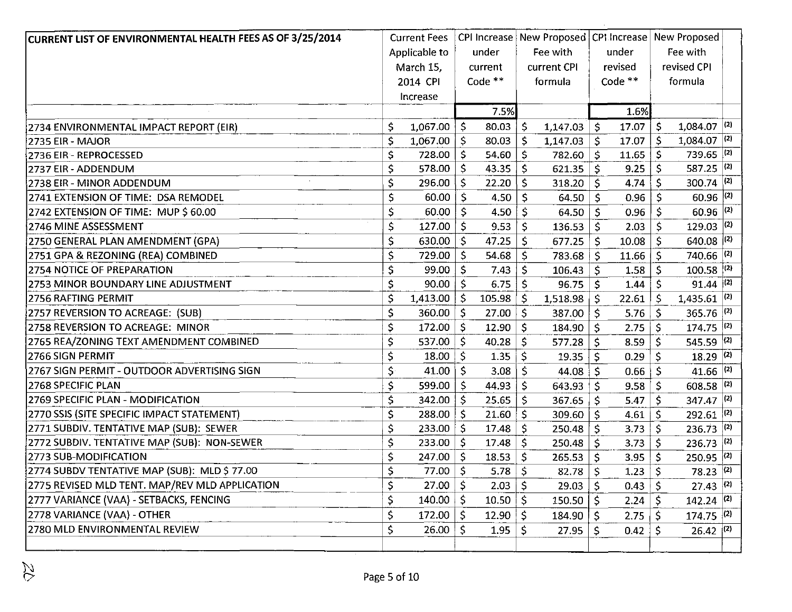|                |                                                                           | under                                                                                                                                                                       |                     |                    |                                    |                                            |                                     |                                                               |                                                                                                                                                                                                                                                                                                                                                                                                                                                                                                                                           |
|----------------|---------------------------------------------------------------------------|-----------------------------------------------------------------------------------------------------------------------------------------------------------------------------|---------------------|--------------------|------------------------------------|--------------------------------------------|-------------------------------------|---------------------------------------------------------------|-------------------------------------------------------------------------------------------------------------------------------------------------------------------------------------------------------------------------------------------------------------------------------------------------------------------------------------------------------------------------------------------------------------------------------------------------------------------------------------------------------------------------------------------|
|                |                                                                           |                                                                                                                                                                             |                     |                    |                                    |                                            |                                     |                                                               |                                                                                                                                                                                                                                                                                                                                                                                                                                                                                                                                           |
|                |                                                                           |                                                                                                                                                                             |                     |                    |                                    |                                            |                                     |                                                               |                                                                                                                                                                                                                                                                                                                                                                                                                                                                                                                                           |
|                |                                                                           |                                                                                                                                                                             |                     |                    |                                    |                                            |                                     |                                                               |                                                                                                                                                                                                                                                                                                                                                                                                                                                                                                                                           |
|                |                                                                           | 7.5%                                                                                                                                                                        |                     |                    |                                    |                                            |                                     |                                                               |                                                                                                                                                                                                                                                                                                                                                                                                                                                                                                                                           |
| \$             | \$                                                                        | 80.03                                                                                                                                                                       | \$                  | 1,147.03           | \$                                 | 17.07                                      | \$                                  |                                                               |                                                                                                                                                                                                                                                                                                                                                                                                                                                                                                                                           |
| \$             | -\$                                                                       | 80.03                                                                                                                                                                       | \$                  | 1,147.03           | \$                                 | 17.07                                      | \$                                  |                                                               |                                                                                                                                                                                                                                                                                                                                                                                                                                                                                                                                           |
| \$<br>728.00   | \$                                                                        | 54.60                                                                                                                                                                       | $\mathsf{\hat{S}}$  | 782.60             | Ŝ.                                 | 11.65                                      | \$                                  |                                                               |                                                                                                                                                                                                                                                                                                                                                                                                                                                                                                                                           |
| \$<br>578.00   | -S                                                                        | 43.35                                                                                                                                                                       | \$                  | 621.35             | \$                                 | 9.25                                       | \$                                  |                                                               |                                                                                                                                                                                                                                                                                                                                                                                                                                                                                                                                           |
| \$             | -Ś                                                                        | 22.20                                                                                                                                                                       | \$                  | 318.20             | \$                                 | 4.74                                       | \$                                  |                                                               |                                                                                                                                                                                                                                                                                                                                                                                                                                                                                                                                           |
| \$             |                                                                           | 4.50                                                                                                                                                                        | \$                  | 64.50              | -\$                                | 0.96                                       | \$.                                 |                                                               |                                                                                                                                                                                                                                                                                                                                                                                                                                                                                                                                           |
| \$             |                                                                           | 4.50                                                                                                                                                                        | $\ddot{\mathsf{S}}$ | 64.50              | l \$                               | 0.96                                       | \$                                  |                                                               |                                                                                                                                                                                                                                                                                                                                                                                                                                                                                                                                           |
| \$             | \$                                                                        | 9.53                                                                                                                                                                        | \$                  | 136.53             | Ŝ.                                 | 2.03                                       | \$                                  |                                                               |                                                                                                                                                                                                                                                                                                                                                                                                                                                                                                                                           |
| \$<br>630.00   | -S                                                                        | 47.25                                                                                                                                                                       | \$                  | 677.25             | \$                                 | 10.08                                      | \$                                  |                                                               |                                                                                                                                                                                                                                                                                                                                                                                                                                                                                                                                           |
| \$             | -\$                                                                       | 54.68                                                                                                                                                                       | \$                  | 783.68             | -S                                 | 11.66                                      | \$                                  |                                                               |                                                                                                                                                                                                                                                                                                                                                                                                                                                                                                                                           |
| \$             | $\mathsf{S}$                                                              | 7.43                                                                                                                                                                        | Ś                   | 106.43             | \$                                 | 1.58                                       | \$                                  |                                                               |                                                                                                                                                                                                                                                                                                                                                                                                                                                                                                                                           |
| \$             |                                                                           | 6.75                                                                                                                                                                        | \$                  | 96.75              | \$                                 | 1.44                                       | \$                                  |                                                               |                                                                                                                                                                                                                                                                                                                                                                                                                                                                                                                                           |
| \$<br>1,413.00 | \$                                                                        | 105.98                                                                                                                                                                      | S.                  | 1,518.98           | -S                                 | 22.61                                      | -S                                  |                                                               |                                                                                                                                                                                                                                                                                                                                                                                                                                                                                                                                           |
| \$<br>360.00   | \$                                                                        | 27.00                                                                                                                                                                       | \$                  | 387.00             | -\$                                | 5.76                                       | $\mathsf{S}$                        |                                                               |                                                                                                                                                                                                                                                                                                                                                                                                                                                                                                                                           |
| \$             | -\$                                                                       | 12.90                                                                                                                                                                       | \$                  | 184.90             | \$                                 | 2.75                                       | S                                   |                                                               |                                                                                                                                                                                                                                                                                                                                                                                                                                                                                                                                           |
| \$<br>537.00   | '\$                                                                       | 40.28                                                                                                                                                                       | \$                  | 577.28             | \$                                 | 8.59                                       |                                     |                                                               |                                                                                                                                                                                                                                                                                                                                                                                                                                                                                                                                           |
| \$<br>18.00    | -\$                                                                       | 1.35                                                                                                                                                                        | \$                  | 19.35              | Ŝ.                                 | 0.29                                       |                                     |                                                               |                                                                                                                                                                                                                                                                                                                                                                                                                                                                                                                                           |
| \$<br>41.00    | Ŝ                                                                         | 3.08                                                                                                                                                                        | \$                  | 44.08              | -S                                 | 0.66                                       |                                     |                                                               |                                                                                                                                                                                                                                                                                                                                                                                                                                                                                                                                           |
| \$<br>599.00   | Ŝ.                                                                        | 44.93                                                                                                                                                                       | \$                  |                    |                                    | 9.58                                       | $\mathsf{S}$                        |                                                               |                                                                                                                                                                                                                                                                                                                                                                                                                                                                                                                                           |
| \$<br>342.00   | Ŝ                                                                         | 25.65                                                                                                                                                                       | $\dot{\mathsf{S}}$  | 367.65             | -Ś                                 | 5.47                                       | Ś                                   |                                                               |                                                                                                                                                                                                                                                                                                                                                                                                                                                                                                                                           |
| \$<br>288.00   | \$                                                                        | 21.60                                                                                                                                                                       | \$                  | 309.60             | $\mathsf{S}$                       | 4.61                                       | \$                                  | 292.61                                                        | (2)                                                                                                                                                                                                                                                                                                                                                                                                                                                                                                                                       |
| \$<br>233.00   | \$                                                                        | 17.48                                                                                                                                                                       | \$                  | 250.48             | -\$                                | 3.73                                       | Ś                                   |                                                               |                                                                                                                                                                                                                                                                                                                                                                                                                                                                                                                                           |
| \$<br>233.00   | -S                                                                        | 17.48                                                                                                                                                                       | \$                  | 250.48             | Ŝ                                  | 3.73                                       |                                     | 236.73                                                        | (2)                                                                                                                                                                                                                                                                                                                                                                                                                                                                                                                                       |
| \$<br>247.00   | \$                                                                        | 18.53                                                                                                                                                                       | \$                  |                    |                                    | 3.95                                       | \$                                  |                                                               |                                                                                                                                                                                                                                                                                                                                                                                                                                                                                                                                           |
|                |                                                                           |                                                                                                                                                                             |                     |                    |                                    |                                            |                                     |                                                               |                                                                                                                                                                                                                                                                                                                                                                                                                                                                                                                                           |
| \$             |                                                                           | 2.03                                                                                                                                                                        | \$                  | 29.03              | -S                                 | 0.43                                       | \$.                                 |                                                               |                                                                                                                                                                                                                                                                                                                                                                                                                                                                                                                                           |
| \$             |                                                                           | 10.50                                                                                                                                                                       | \$.                 | 150.50             | ∣\$                                | 2.24                                       | -\$                                 |                                                               |                                                                                                                                                                                                                                                                                                                                                                                                                                                                                                                                           |
| \$<br>172.00   |                                                                           | 12.90                                                                                                                                                                       | \$                  | 184.90             | -S                                 | 2.75                                       |                                     |                                                               |                                                                                                                                                                                                                                                                                                                                                                                                                                                                                                                                           |
| \$<br>26.00    | -S                                                                        | 1.95                                                                                                                                                                        | \$                  | 27.95              | -\$                                | 0.42                                       | \$                                  |                                                               |                                                                                                                                                                                                                                                                                                                                                                                                                                                                                                                                           |
|                |                                                                           |                                                                                                                                                                             |                     |                    |                                    |                                            |                                     |                                                               |                                                                                                                                                                                                                                                                                                                                                                                                                                                                                                                                           |
| \$             | <b>Current Fees</b><br>Applicable to<br>March 15,<br>2014 CPI<br>Increase | 1,067.00<br>1,067.00<br>296.00<br>$60.00$   \$<br>$60.00$   \$<br>127.00<br>729.00<br>99.00<br>$90.00$   \$<br>172.00<br>$77.00$ \$<br>$27.00$   \$<br>$140.00  $ \$<br>5 ا | current<br>Code **  | $\vert$ \$<br>5.78 | Fee with<br>current CPI<br>formula | $643.93$ \$<br>$265.53$   \$<br>$82.78$ \$ | under<br>revised<br>Code **<br>1.6% | CPI Increase   New Proposed   CPI Increase  <br>$1.23 \mid 5$ | New Proposed<br>Fee with<br>revised CPI<br>formula<br>$1,084.07$ <sup>(2)</sup><br>1,084.07 $ ^{(2)}$<br>739.65 $(2)$<br>587.25 $(2)$<br>$300.74$ $(2)$<br>$60.96$ $(2)$<br>$60.96$ <sup>(2)</sup><br>$129.03$ (2)<br>$640.08$ (2)<br>740.66 $(2)$<br>$100.58$ (2)<br>$91.44$ (2)<br>1,435.61 $(2)$<br>$365.76$ (2)<br>$174.75$ (2)<br>545.59 $(2)$<br>$18.29$ (2)<br>41.66 $(2)$<br>608.58 $(2)$<br>347.47 $(2)$<br>$236.73$ (2)<br>$250.95$ (2)<br>$78.23$ <sup>(2)</sup><br>$27.43$ (2)<br>$142.24$ (2)<br>$174.75$ (2)<br>$26.42$ (2) |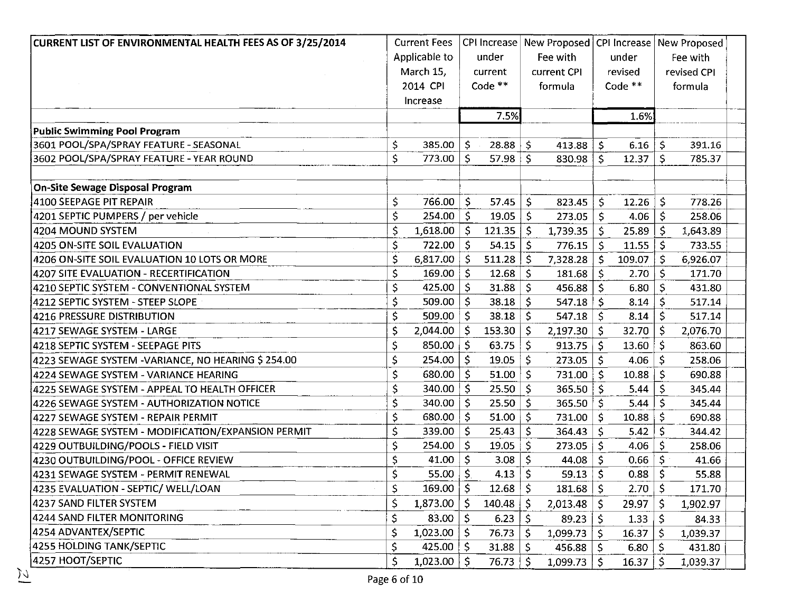| CURRENT LIST OF ENVIRONMENTAL HEALTH FEES AS OF 3/25/2014 |     | <b>Current Fees</b> |              |                     |    |                   |                    |                    |    | CPI Increase   New Proposed   CPI Increase   New Proposed |
|-----------------------------------------------------------|-----|---------------------|--------------|---------------------|----|-------------------|--------------------|--------------------|----|-----------------------------------------------------------|
|                                                           |     | Applicable to       |              | under               |    | Fee with          |                    | under              |    | Fee with                                                  |
|                                                           |     | March 15,           |              | current             |    | current CPI       |                    | revised            |    | revised CPI                                               |
|                                                           |     | 2014 CPI            |              | Code $**$           |    | formula           |                    | Code $**$          |    | formula                                                   |
|                                                           |     | Increase            |              |                     |    |                   |                    |                    |    |                                                           |
|                                                           |     |                     |              | 7.5%                |    |                   |                    | 1.6%               |    |                                                           |
| Public Swimming Pool Program                              |     |                     |              |                     |    |                   |                    |                    |    |                                                           |
| 3601 POOL/SPA/SPRAY FEATURE - SEASONAL                    | \$. | $385.00  $ \$       |              | $28.88$ \$          |    | 413.88            | $\sqrt{5}$         | $6.16$ \$          |    | 391.16                                                    |
| 3602 POOL/SPA/SPRAY FEATURE - YEAR ROUND                  | \$  | 773.00              | -S           | $57.98$ \$          |    | 830.98            | Ś.                 | $12.37 \mid 5$     |    | 785.37                                                    |
| <b>On-Site Sewage Disposal Program</b>                    |     |                     |              |                     |    |                   |                    |                    |    |                                                           |
| 4100 SEEPAGE PIT REPAIR                                   | \$  | 766.00              | -S           | 57.45               | Ś  | 823.45            | Ś.                 | 12.26              | \$ | 778.26                                                    |
| 4201 SEPTIC PUMPERS / per vehicle                         | \$  | 254.00              | $\mathsf{S}$ | 19.05               | -Ś | 273.05            | \$                 | 4.06               | \$ | 258.06                                                    |
| 4204 MOUND SYSTEM                                         | \$  | $1,618.00$ \$       |              | $121.35$   \$       |    | 1,739.35          | Ŝ.                 | $25.89$   \$       |    | 1,643.89                                                  |
| <b>4205 ON-SITE SOIL EVALUATION</b>                       | \$  | 722.00              | -S           | $54.15$   \$        |    | 776.15            | Ŝ.                 | $11.55$   \$       |    | 733.55                                                    |
| 4206 ON-SITE SOIL EVALUATION 10 LOTS OR MORE              | \$  | 6,817.00            | $\mathsf{S}$ | $511.28$   \$       |    | 7,328.28          | $\mathsf{S}$       | 109.07             | \$ | 6,926.07                                                  |
| 4207 SITE EVALUATION - RECERTIFICATION                    | \$  | 169.00              | -S           | $12.68$   \$        |    | 181.68            | $\dot{\mathsf{S}}$ | $2.70 \mid 5$      |    | 171.70                                                    |
| 4210 SEPTIC SYSTEM - CONVENTIONAL SYSTEM                  | \$  | 425.00              | -S           | $31.88$ \ \$        |    | 456.88            | \$.                | 6.80               | Ŝ. | 431.80                                                    |
| 4212 SEPTIC SYSTEM - STEEP SLOPE                          | \$  | $509.00$   \$       |              | $38.18$ \$          |    | 547.18            | $\mathsf{S}$       | $8.14$ \$          |    | 517.14                                                    |
| 4216 PRESSURE DISTRIBUTION                                | \$  | $509.00$   \$       |              | $38.18$ \$          |    | 547.18            | -Ś                 | $8.14$   \$        |    | 517.14                                                    |
| 4217 SEWAGE SYSTEM - LARGE                                | \$  | $2,044.00$   \$     |              | $153.30 \mid \zeta$ |    | 2,197.30          | $\mathsf{S}$       | 32.70              | Ŝ. | 2,076.70                                                  |
| 4218 SEPTIC SYSTEM - SEEPAGE PITS                         | \$  | $850.00$ \$         |              | 63.75               | S. | 913.75            | S                  | 13.60              | -Ŝ | 863.60                                                    |
| 4223 SEWAGE SYSTEM -VARIANCE, NO HEARING \$ 254.00        | \$  | 254.00              | $\mathsf{S}$ | 19.05               | S. | 273.05            | S.                 | 4.06               | Ŝ. | 258.06                                                    |
| 4224 SEWAGE SYSTEM - VARIANCE HEARING                     | \$  | 680.00              | -\$          | $51.00$ \$          |    | 731.00            | \$                 | 10.88              | \$ | 690.88                                                    |
| 4225 SEWAGE SYSTEM - APPEAL TO HEALTH OFFICER             | \$  | $340.00$ S          |              | $25.50$   \$        |    | $365.50$   \$     |                    | 5.44               | -S | 345.44                                                    |
| 4226 SEWAGE SYSTEM - AUTHORIZATION NOTICE                 | \$  | $340.00$   \$       |              | $25.50$ \$          |    | 365.50 $\vert$ \$ |                    | 5.44 $\frac{1}{5}$ |    | 345.44                                                    |
| 4227 SEWAGE SYSTEM - REPAIR PERMIT                        | \$  | 680.00              | $\mathsf{S}$ | $51.00$ \$          |    | 731.00            | S.                 | $10.88$ \$         |    | 690.88                                                    |
| 4228 SEWAGE SYSTEM - MODIFICATION/EXPANSION PERMIT        | \$. | $339.00$   \$       |              | 25.43               | -S | 364.43            | S.                 | 5.42               | -Ŝ | 344.42                                                    |
| 4229 OUTBUILDING/POOLS - FIELD VISIT                      | \$  | $254.00$   \$       |              | $19.05 \mid$ \$     |    | $273.05$ \$       |                    | $4.06 \mid$ \$     |    | 258.06                                                    |
| 4230 OUTBUILDING/POOL - OFFICE REVIEW                     | \$  | 41.00 $\vert$ \$    |              | $3.08$   \$         |    | 44.08             | $\mathsf{S}$       | $0.66$   \$        |    | 41.66                                                     |
| 4231 SEWAGE SYSTEM - PERMIT RENEWAL                       | \$  | 55.00               | -S           | 4.13                | Š. | 59.13             | $\mathsf{S}$       | $0.88$   \$        |    | 55.88                                                     |
| 4235 EVALUATION - SEPTIC/ WELL/LOAN                       | \$  | 169.00   S          |              | 12.68               | \$ | 181.68            | $\mathsf{S}$       | 2.70               | \$ | 171.70                                                    |
| 4237 SAND FILTER SYSTEM                                   | \$  | 1,873.00            | \$.          | 140.48              | S  | 2,013.48          | \$.                | 29.97              | S  | 1,902.97                                                  |
| 4244 SAND FILTER MONITORING                               | \$  | 83.00               | \$           | 6.23                | \$ | 89.23             | \$                 | 1.33               | -S | 84.33                                                     |
| 4254 ADVANTEX/SEPTIC                                      | \$  | 1,023.00            | S.           | 76.73               | -S | 1,099.73          |                    | 16.37              |    | 1,039.37                                                  |
| 4255 HOLDING TANK/SEPTIC                                  | \$  | 425.00              | -S           | $31.88$   \$        |    | 456.88            | -S                 | 6.80               | -S | 431.80                                                    |
| 4257 HOOT/SEPTIC                                          | \$  | 1,023.00            | -S           | $76.73 \mid \xi$    |    | 1,099.73          | \$                 | 16.37              | S. | 1,039.37                                                  |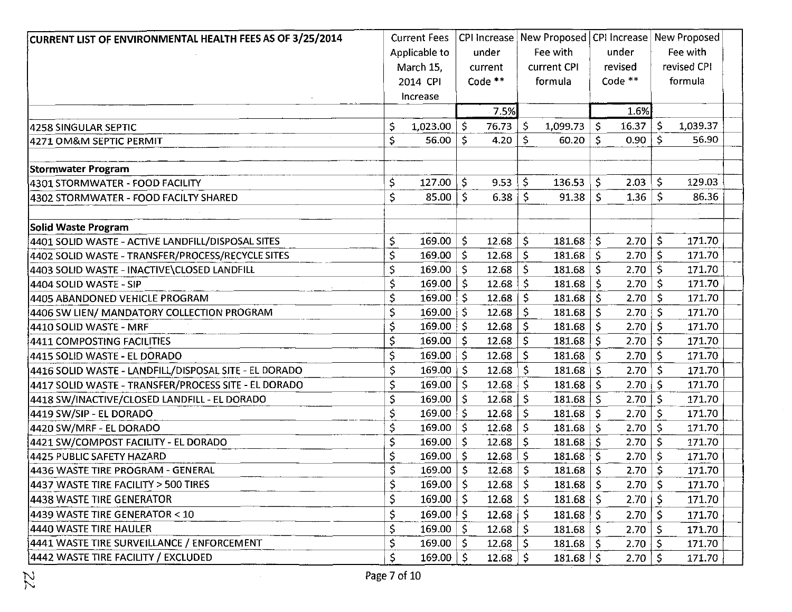| CURRENT LIST OF ENVIRONMENTAL HEALTH FEES AS OF 3/25/2014 | <b>Current Fees</b> |              |                 |              | CPI Increase   New Proposed   CPI Increase   New Proposed |     |           |                    |             |  |
|-----------------------------------------------------------|---------------------|--------------|-----------------|--------------|-----------------------------------------------------------|-----|-----------|--------------------|-------------|--|
|                                                           | Applicable to       |              | under           |              | Fee with                                                  |     | under     |                    | Fee with    |  |
|                                                           | March 15.           |              | current         |              | current CPI                                               |     | revised   |                    | revised CPI |  |
|                                                           | 2014 CPI            |              | Code $**$       |              | formula                                                   |     | Code $**$ |                    | formula     |  |
|                                                           | Increase            |              |                 |              |                                                           |     |           |                    |             |  |
|                                                           |                     |              | 7.5%            |              |                                                           |     | 1.6%      |                    |             |  |
| 4258 SINGULAR SEPTIC                                      | \$<br>1,023.00      | \$           | 76.73           | \$           | 1,099.73                                                  | \$  | 16.37     | \$                 | 1,039.37    |  |
| 4271 OM&M SEPTIC PERMIT                                   | \$<br>56.00         | Ŝ            | 4.20            | $\mathsf{S}$ | 60.20                                                     | Ŝ.  | 0.90      | \$                 | 56.90       |  |
| <b>Stormwater Program</b>                                 |                     |              |                 |              |                                                           |     |           |                    |             |  |
| 4301 STORMWATER - FOOD FACILITY                           | \$<br>127.00        | \$           | 9.53            | Ŝ.           | 136.53                                                    | Ŝ.  | 2.03      | Ŝ.                 | 129.03      |  |
| 4302 STORMWATER - FOOD FACILTY SHARED                     | \$<br>85.00         | \$           | 6.38            | S.           | 91.38                                                     | \$. | 1.36      | -\$                | 86.36       |  |
| Solid Waste Program                                       |                     |              |                 |              |                                                           |     |           |                    |             |  |
| 4401 SOLID WASTE - ACTIVE LANDFILL/DISPOSAL SITES         | \$<br>169.00        | \$           | 12.68           | \$           | 181.68                                                    | \$  | 2.70      | \$                 | 171.70      |  |
| 4402 SOLID WASTE - TRANSFER/PROCESS/RECYCLE SITES         | \$<br>169.00        | \$           | $12.68$   \$    |              | 181.68                                                    | \$  | 2.70      | $\zeta$            | 171.70      |  |
| 4403 SOLID WASTE - INACTIVE\CLOSED LANDFILL               | \$<br>169.00        | -\$          | 12.68           | Ŝ.           | 181.68                                                    | \$  | 2.70      | Š.                 | 171.70      |  |
| 4404 SOLID WASTE - SIP                                    | \$<br>169.00        | \$           | $12.68 \mid$ \$ |              | 181.68                                                    | \$  | 2.70      | $\dot{\mathsf{S}}$ | 171.70      |  |
| 4405 ABANDONED VEHICLE PROGRAM                            | \$<br>169.00        | $\mathsf{S}$ | $12.68$   \$    |              | 181.68                                                    | \$  | 2.70      | -\$                | 171.70      |  |
| 4406 SW LIEN/ MANDATORY COLLECTION PROGRAM                | \$<br>169.00        | -S           | 12.68           | -\$          | 181.68                                                    | \$. | 2.70      | <b>S</b>           | 171.70      |  |
| 4410 SOLID WASTE - MRF                                    | \$<br>169.00        | -\$          | $12.68$   \$    |              | 181.68                                                    | \$  | 2.70      | $\mathsf{S}$       | 171.70      |  |
| 4411 COMPOSTING FACILITIES                                | \$<br>169.00        | S            | 12.68           | \$           | 181.68                                                    | \$  | 2.70      | \$                 | 171.70      |  |
| 4415 SOLID WASTE - EL DORADO                              | \$<br>169.00        | Ś            | 12.68           | -\$          | 181.68                                                    | \$  | 2.70      | \$                 | 171.70      |  |
| 4416 SOLID WASTE - LANDFILL/DISPOSAL SITE - EL DORADO     | \$<br>169.00        | \$.          | $12.68$ \$      |              | 181.68                                                    | Ś   | 2.70      | -S                 | 171.70      |  |
| 4417 SOLID WASTE - TRANSFER/PROCESS SITE - EL DORADO      | \$<br>169.00        | -S           | $12.68$   \$    |              | 181.68                                                    | Ś.  | 2.70      | \$.                | 171.70      |  |
| 4418 SW/INACTIVE/CLOSED LANDFILL - EL DORADO              | \$<br>169.00        | \$,          | $12.68$   \$    |              | 181.68                                                    | \$  | 2.70      | $\mathsf{S}$       | 171.70      |  |
| 4419 SW/SIP - EL DORADO                                   | \$<br>169.00        | S            | 12.68           | Ŝ.           | 181.68                                                    | Ŝ.  | 2.70      | -Ŝ                 | 171.70      |  |
| 4420 SW/MRF - EL DORADO                                   | \$<br>169.00        | \$.          | 12.68           | $\mathsf{S}$ | 181.68                                                    | \$  | 2.70      | \$                 | 171.70      |  |
| 4421 SW/COMPOST FACILITY - EL DORADO                      | \$<br>169.00        | \$           | $12.68$ \$      |              | 181.68                                                    | \$  | 2.70      | \$                 | 171.70      |  |
| 4425 PUBLIC SAFETY HAZARD                                 | \$<br>169.00        | -S           | 12.68           | -S           | 181.68                                                    | Ś   | 2.70      | \$                 | 171.70      |  |
| 4436 WASTE TIRE PROGRAM - GENERAL                         | \$<br>169.00        | $\mathsf{S}$ | $12.68$ \$      |              | 181.68                                                    | -S  | 2.70      | $\mathsf{S}$       | 171.70      |  |
| 4437 WASTE TIRE FACILITY > 500 TIRES                      | \$<br>169.00        | \$           | $12.68 \mid$ \$ |              | 181.68                                                    | \$  | 2.70      | \$                 | 171.70      |  |
| 4438 WASTE TIRE GENERATOR                                 | 169.00              | \$           | $12.68 \mid$ \$ |              | 181.68                                                    | \$  | 2.70      | -S                 | 171.70      |  |
| 4439 WASTE TIRE GENERATOR < 10                            | \$<br>169.00        | -\$          | $12.68$   \$    |              | 181.68                                                    | S   | 2.70      | 'S                 | 171.70      |  |
| 4440 WASTE TIRE HAULER                                    | \$<br>169.00        | -S           | 12.68           | -S           | 181.68                                                    | \$  | 2.70      | -S                 | 171.70      |  |
| 4441 WASTE TIRE SURVEILLANCE / ENFORCEMENT                | \$<br>$169.00  $ \$ |              | $12.68$   \$    |              | 181.68                                                    | -S  | 2.70      | -\$                | 171.70      |  |
| 4442 WASTE TIRE FACILITY / EXCLUDED                       | \$<br>$169.00  $ \$ |              | $12.68 \mid$ \$ |              | 181.68                                                    | Ŝ.  | 2.70      | -\$                | 171.70      |  |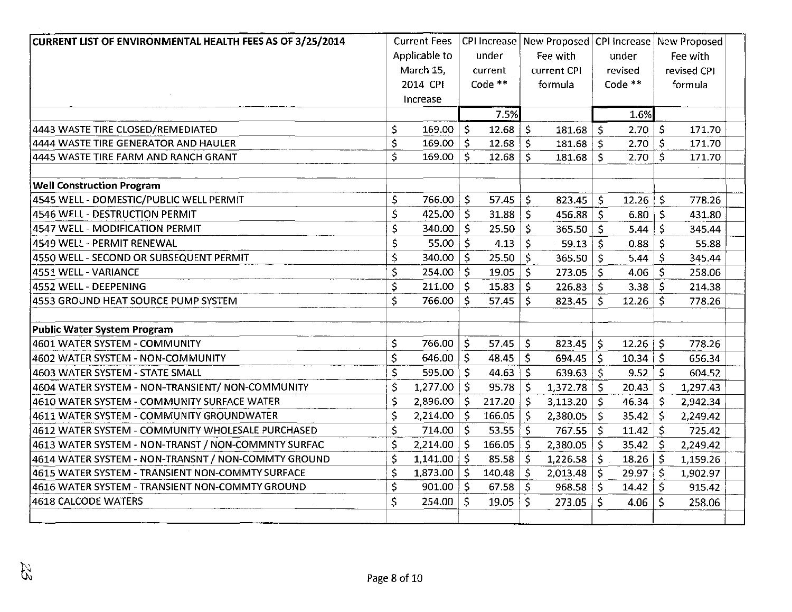| CURRENT LIST OF ENVIRONMENTAL HEALTH FEES AS OF 3/25/2014 |     | <b>Current Fees</b> |              | <b>CPI Increase</b> |                     | New Proposed CPI increase |              |               |                     | New Proposed |  |
|-----------------------------------------------------------|-----|---------------------|--------------|---------------------|---------------------|---------------------------|--------------|---------------|---------------------|--------------|--|
|                                                           |     | Applicable to       |              | under               |                     | Fee with                  |              | under         |                     | Fee with     |  |
|                                                           |     | March 15,           |              | current             |                     | current CPI               |              | revised       |                     | revised CPI  |  |
|                                                           |     | 2014 CPI            |              | Code **             |                     | formula                   |              | Code **       |                     | formula      |  |
|                                                           |     | Increase            |              |                     |                     |                           |              |               |                     |              |  |
|                                                           |     |                     |              | 7.5%                |                     |                           |              | 1.6%          |                     |              |  |
| 4443 WASTE TIRE CLOSED/REMEDIATED                         | \$. | $169.00$   \$       |              | 12.68               | $\ddot{\mathsf{S}}$ | $181.68$ \$               |              | 2.70          | $\ddot{\mathsf{S}}$ | 171.70       |  |
| 4444 WASTE TIRE GENERATOR AND HAULER                      | \$  | $169.00$ \$         |              | 12.68               | \$                  | $181.68$ \$               |              | 2.70          | $\ddot{s}$          | 171.70       |  |
| 14445 WASTE TIRE FARM AND RANCH GRANT                     | \$  | $169.00$   \$       |              | 12.68               | Ŝ.                  | $181.68$ \$               |              | $2.70 \mid 5$ |                     | 171.70       |  |
| <b>Well Construction Program</b>                          |     |                     |              |                     |                     |                           |              |               |                     |              |  |
| 4545 WELL - DOMESTIC/PUBLIC WELL PERMIT                   | \$  | 766.00              | \$           | 57.45               | \$                  | 823.45                    | \$           | 12.26         | \$                  | 778.26       |  |
| 4546 WELL - DESTRUCTION PERMIT                            | \$  | 425.00              | $\zeta$      | 31.88               | \$                  | $456.88$ \ \$             |              | 6.80          | \$                  | 431.80       |  |
| 4547 WELL - MODIFICATION PERMIT                           | \$  | 340.00              | $\zeta$      | 25.50               | \$                  | 365.50                    | $\mathsf{S}$ | 5.44          | \$                  | 345.44       |  |
| 4549 WELL - PERMIT RENEWAL                                | \$  | 55.00               | $\mathsf{S}$ | 4.13                | \$                  | 59.13                     | $\mathsf{S}$ | 0.88          | \$                  | 55.88        |  |
| 4550 WELL - SECOND OR SUBSEQUENT PERMIT                   | \$  | 340.00              | $\mathsf{S}$ | 25.50               | \$                  | $365.50$ $\frac{1}{5}$    |              | 5.44          | \$                  | 345.44       |  |
| 4551 WELL - VARIANCE                                      | \$  | 254.00              | $\mathsf{S}$ | 19.05               | \$                  | $273.05$ \ \$             |              | 4.06          | Ŝ.                  | 258.06       |  |
| 4552 WELL - DEEPENING                                     | \$. | 211.00              | $\mathsf{S}$ | 15.83               | \$                  | $226.83$ \$               |              | 3.38          | Ŝ.                  | 214.38       |  |
| 4553 GROUND HEAT SOURCE PUMP SYSTEM                       | \$  | 766.00              | $\mathsf{S}$ | 57.45               | Ś.                  | $823.45$ \$               |              | 12.26         | \$                  | 778.26       |  |
| Public Water System Program                               |     |                     |              |                     |                     |                           |              |               |                     |              |  |
| 4601 WATER SYSTEM - COMMUNITY                             | \$  | 766.00              | \$           | 57.45               | $\mathsf{\hat{S}}$  | 823.45                    | \$           | 12.26         | \$                  | 778.26       |  |
| 4602 WATER SYSTEM - NON-COMMUNITY                         | Ś   | $646.00$   \$       |              | 48.45               | \$                  | 694.45                    | $\mathsf{S}$ | 10.34         | \$                  | 656.34       |  |
| 4603 WATER SYSTEM - STATE SMALL                           | \$  | 595.00              | $\varsigma$  | 44.63               | $\mathsf{S}$        | $639.63$ \ \$             |              | 9.52          | \$                  | 604.52       |  |
| 4604 WATER SYSTEM - NON-TRANSIENT/ NON-COMMUNITY          | \$  | 1,277.00            | $\zeta$      | 95.78               | Š.                  | $1,372.78$   \$           |              | 20.43         | Ŝ.                  | 1,297.43     |  |
| 4610 WATER SYSTEM - COMMUNITY SURFACE WATER               | \$  | 2,896.00            | -S           | 217.20              | \$                  | $3,113.20$   \$           |              | 46.34         | \$                  | 2,942.34     |  |
| 4611 WATER SYSTEM - COMMUNITY GROUNDWATER                 | \$  | $2,214.00$   \$     |              | 166.05              | \$                  | $2,380.05$ \$             |              | 35.42         | \$                  | 2,249.42     |  |
| 4612 WATER SYSTEM - COMMUNITY WHOLESALE PURCHASED         | \$  | $714.00$ \$         |              | 53.55               | Ŝ.                  | $767.55$ $\frac{2}{5}$    |              | 11.42         | $\mathsf{\hat{S}}$  | 725.42       |  |
| 4613 WATER SYSTEM - NON-TRANST / NON-COMMNTY SURFAC       | \$  | 2,214.00            | $\mathsf{S}$ | 166.05              | \$                  | 2,380.05                  | \$           | 35.42         | \$.                 | 2,249.42     |  |
| 4614 WATER SYSTEM - NON-TRANSNT / NON-COMMTY GROUND       | \$  | $1,141.00$   \$     |              | 85.58               | \$                  | $1,226.58$   \$           |              | 18.26         | \$.                 | 1,159.26     |  |
| 4615 WATER SYSTEM - TRANSIENT NON-COMMTY SURFACE          | \$  | $1,873.00$   \$     |              | 140.48              | \$                  | 2,013.48                  | \$           | 29.97         | \$                  | 1,902.97     |  |
| 4616 WATER SYSTEM - TRANSIENT NON-COMMTY GROUND           | \$  | $901.00$ \$         |              | 67.58               | $\mathsf{S}$        | 968.58                    | -\$          | 14.42         | \$.                 | 915.42       |  |
| 4618 CALCODE WATERS                                       | \$  | 254.00              | Ś            | 19.05               | Ś.                  | 273.05                    | Ś            | 4.06          | Ś.                  | 258.06       |  |
|                                                           |     |                     |              |                     |                     |                           |              |               |                     |              |  |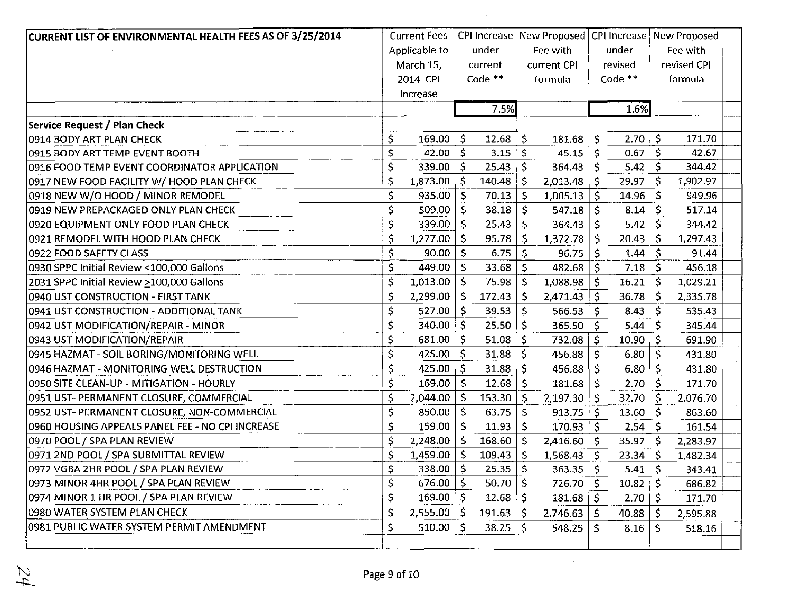| CURRENT LIST OF ENVIRONMENTAL HEALTH FEES AS OF 3/25/2014 |    | <b>Current Fees</b> |              |         |              | CPI Increase   New Proposed   CPI Increase   New Proposed |                     |         |              |             |  |
|-----------------------------------------------------------|----|---------------------|--------------|---------|--------------|-----------------------------------------------------------|---------------------|---------|--------------|-------------|--|
|                                                           |    | Applicable to       |              | under   |              | Fee with                                                  |                     | under   |              | Fee with    |  |
|                                                           |    | March 15,           |              | current |              | current CPI                                               |                     | revised |              | revised CPI |  |
|                                                           |    | 2014 CPI            |              | Code ** |              | formula                                                   |                     | Code ** |              | formula     |  |
|                                                           |    | Increase            |              |         |              |                                                           |                     |         |              |             |  |
|                                                           |    |                     |              | 7.5%    |              |                                                           |                     | 1.6%    |              |             |  |
| <b>Service Request / Plan Check</b>                       |    |                     |              |         |              |                                                           |                     |         |              |             |  |
| 0914 BODY ART PLAN CHECK                                  | \$ | 169.00              | Ŝ.           | 12.68   | $\zeta$      | 181.68                                                    | $\mathsf{S}$        | 2.70    | \$           | 171.70      |  |
| 0915 BODY ART TEMP EVENT BOOTH                            | \$ | 42.00 $\vert$ \$    |              | 3.15    | -S           | 45.15                                                     | -\$                 | 0.67    | \$.          | 42.67       |  |
| 0916 FOOD TEMP EVENT COORDINATOR APPLICATION              | Ś  | $339.00$ \$         |              | 25.43   | S.           | 364.43                                                    | -Ś                  | $5.42$  | \$           | 344.42      |  |
| 0917 NEW FOOD FACILITY W/ HOOD PLAN CHECK                 | \$ | $1,873.00$   \$     |              | 140.48  | $\zeta$      | $2,013.48$   \$                                           |                     | 29.97   | $\mathsf{S}$ | 1,902.97    |  |
| 0918 NEW W/O HOOD / MINOR REMODEL                         | \$ | $935.00$   \$       |              | 70.13   | $\mathsf{S}$ | $1,005.13$ \$                                             |                     | 14.96   | $\mathsf{S}$ | 949.96      |  |
| 0919 NEW PREPACKAGED ONLY PLAN CHECK                      | \$ | 509.00              | \$           | 38.18   | \$           | $547.18$ \$                                               |                     | 8.14    | $\mathsf{S}$ | 517.14      |  |
| 0920 EQUIPMENT ONLY FOOD PLAN CHECK                       | \$ | 339.00              | \$           | 25.43   | $\mathsf{S}$ | $364.43$ \$                                               |                     | 5.42    | $\mathsf{S}$ | 344.42      |  |
| 0921 REMODEL WITH HOOD PLAN CHECK                         | \$ | 1,277.00            | \$           | 95.78   | Ś.           | $1,372.78$ \$                                             |                     | 20.43   | Ŝ.           | 1,297.43    |  |
| 0922 FOOD SAFETY CLASS                                    | \$ | 90.00   5           |              | 6.75    | -S           | $96.75$ \$                                                |                     | 1.44    | -\$          | 91.44       |  |
| 0930 SPPC Initial Review <100,000 Gallons                 | \$ | 449.00 $\vert$ \$   |              | 33.68   | $\mathsf{S}$ | $482.68$ \$                                               |                     | 7.18    | -S           | 456.18      |  |
| 2031 SPPC Initial Review >100,000 Gallons                 | \$ | 1,013.00            | \$           | 75.98   | \$           | 1,088.98                                                  | \$                  | 16.21   | S.           | 1,029.21    |  |
| 0940 UST CONSTRUCTION - FIRST TANK                        | \$ | 2,299.00            | $\zeta$      | 172.43  | \$           | $2,471.43$ \$                                             |                     | 36.78   | \$           | 2,335.78    |  |
| 0941 UST CONSTRUCTION - ADDITIONAL TANK                   | \$ | 527.00              | $\zeta$      | 39.53   | $\mathsf{S}$ | 566.53                                                    | $\mathsf{S}$        | 8.43    | $\mathsf{S}$ | 535.43      |  |
| 0942 UST MODIFICATION/REPAIR - MINOR                      | \$ | $340.00$   \$       |              | 25.50   | $\zeta$      | 365.50 $ $                                                | $\ddot{\mathsf{s}}$ | 5.44    | $\mathsf{S}$ | 345.44      |  |
| 0943 UST MODIFICATION/REPAIR                              | \$ | $681.00$ \$         |              | 51.08   | $\mathsf{S}$ | $732.08$   \$                                             |                     | 10.90   | $\mathsf{S}$ | 691.90      |  |
| 0945 HAZMAT - SOIL BORING/MONITORING WELL                 | \$ | 425.00 $\vert$ \$   |              | 31.88   | $\mathsf{S}$ | 456.88                                                    | \$                  | 6.80    | \$           | 431.80      |  |
| 0946 HAZMAT - MONITORING WELL DESTRUCTION                 | \$ | 425.00 $\vert$ \$   |              | 31.88   | $\mathsf{S}$ | $456.88$ \ \$                                             |                     | 6.80    | $\mathsf{S}$ | 431.80      |  |
| 0950 SITE CLEAN-UP - MITIGATION - HOURLY                  | \$ | 169.00              | \$           | 12.68   | \$           | 181.68                                                    | $\zeta$             | 2.70    | S.           | 171.70      |  |
| 0951 UST- PERMANENT CLOSURE, COMMERCIAL                   | \$ | $2,044.00$   \$     |              | 153.30  | -S           | 2,197.30                                                  | -S                  | 32.70   | -S           | 2,076.70    |  |
| 0952 UST- PERMANENT CLOSURE, NON-COMMERCIAL               | \$ | 850.00              | \$           | 63.75   | \$           | 913.75                                                    | \$                  | 13.60   | \$           | 863.60      |  |
| 0960 HOUSING APPEALS PANEL FEE - NO CPI INCREASE          | \$ | 159.00              | <sup>S</sup> | 11.93   | \$           | 170.93                                                    | -S                  | 2.54    | $\mathsf{S}$ | 161.54      |  |
| 0970 POOL / SPA PLAN REVIEW                               | \$ | $2,248.00$   \$     |              | 168.60  | $\mathsf{S}$ | $2,416.60$ \$                                             |                     | 35.97   | $\mathsf{S}$ | 2,283.97    |  |
| 0971 2ND POOL / SPA SUBMITTAL REVIEW                      | \$ | 1,459.00            | \$           | 109.43  | S.           | 1,568.43                                                  | -\$                 | 23.34   | -S           | 1,482.34    |  |
| 0972 VGBA 2HR POOL / SPA PLAN REVIEW                      | \$ | 338.00              | \$           | 25.35   | $\mathsf{S}$ | $363.35$ \$                                               |                     | 5.41    | $\mathsf{S}$ | 343.41      |  |
| 0973 MINOR 4HR POOL / SPA PLAN REVIEW                     | \$ | 676.00 $\vert$ \$   |              | 50.70   | Ŝ.           | $726.70$ \$                                               |                     | 10.82   | $\mathsf{S}$ | 686.82      |  |
| 0974 MINOR 1 HR POOL / SPA PLAN REVIEW                    | Ś  | 169.00 $\vert$ \$   |              | 12.68   | Ŝ.           | $181.68$ \$                                               |                     | 2.70    | \$           | 171.70      |  |
| 0980 WATER SYSTEM PLAN CHECK                              | \$ | $2,555.00$   \$     |              | 191.63  | Ŝ.           | 2,746.63                                                  | $\mathsf{\hat{S}}$  | 40.88   | \$           | 2,595.88    |  |
| 0981 PUBLIC WATER SYSTEM PERMIT AMENDMENT                 | \$ | $510.00$ \$         |              | 38.25   | $\zeta$      | 548.25                                                    | \$                  | 8.16    | $\mathsf{S}$ | 518.16      |  |
|                                                           |    |                     |              |         |              |                                                           |                     |         |              |             |  |

 $\sim$ 

 $\sim$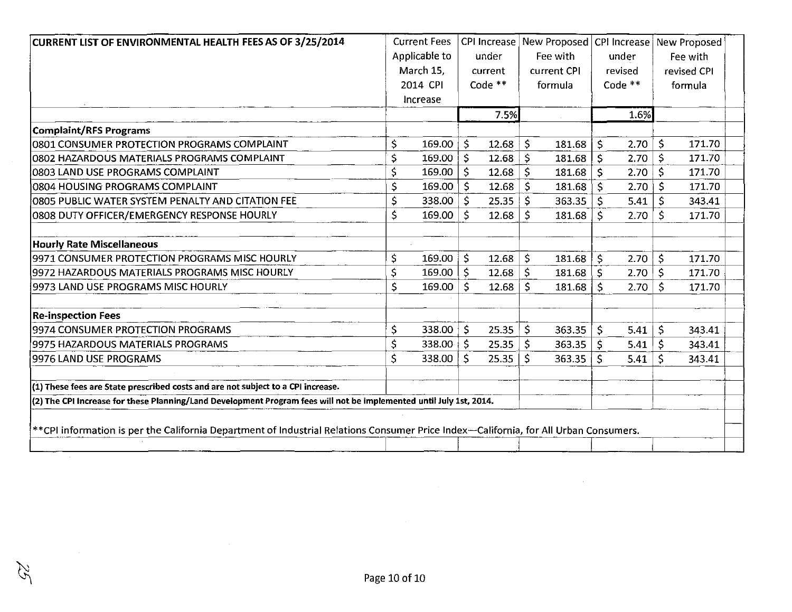| CURRENT LIST OF ENVIRONMENTAL HEALTH FEES AS OF 3/25/2014                          | <b>Current Fees</b>                                                                                                 |              | <b>CPI Increase</b> | New Proposed   CPI Increase   New Proposed |    |         |             |         |  |  |
|------------------------------------------------------------------------------------|---------------------------------------------------------------------------------------------------------------------|--------------|---------------------|--------------------------------------------|----|---------|-------------|---------|--|--|
|                                                                                    | Applicable to                                                                                                       |              | under               | Fee with                                   |    | under   | Fee with    |         |  |  |
|                                                                                    | March 15,                                                                                                           |              | current             | current CPI                                |    | revised | revised CPI |         |  |  |
|                                                                                    | 2014 CPI                                                                                                            |              | Code **             | formula                                    |    | Code ** |             | formula |  |  |
|                                                                                    | Increase                                                                                                            |              |                     |                                            |    |         |             |         |  |  |
|                                                                                    |                                                                                                                     |              | 7.5%                |                                            |    | 1.6%    |             |         |  |  |
| <b>Complaint/RFS Programs</b>                                                      |                                                                                                                     |              |                     |                                            |    |         |             |         |  |  |
| 0801 CONSUMER PROTECTION PROGRAMS COMPLAINT                                        | \$<br>169.00                                                                                                        | $\mathsf{S}$ | 12.68               | \$<br>181.68                               | Ŝ. | 2.70    | \$          | 171.70  |  |  |
| 0802 HAZARDOUS MATERIALS PROGRAMS COMPLAINT                                        | \$<br>169.00                                                                                                        | $\mathsf{S}$ | 12.68               | \$<br>181.68                               | -Ś | 2.70    | $\zeta$     | 171.70  |  |  |
| 10803 LAND USE PROGRAMS COMPLAINT                                                  | \$<br>169.00                                                                                                        | $\mathsf{S}$ | 12.68               | \$<br>181.68                               | -Ś | 2.70    | \$          | 171.70  |  |  |
| 0804 HOUSING PROGRAMS COMPLAINT                                                    | \$<br>169.00                                                                                                        | $\mathsf{S}$ | 12.68               | \$<br>181.68                               | Ŝ  | 2.70    | \$          | 171.70  |  |  |
| O8O5 PUBLIC WATER SYSTEM PENALTY AND CITATION FEE                                  | \$<br>338.00                                                                                                        | S.           | 25.35               | \$<br>363.35                               |    | 5.41    | \$          | 343.41  |  |  |
| 0808 DUTY OFFICER/EMERGENCY RESPONSE HOURLY                                        | \$<br>169.00                                                                                                        | \$           | 12.68               | \$.<br>181.68                              | S. | 2.70    | \$          | 171.70  |  |  |
| <b>Hourly Rate Miscellaneous</b>                                                   |                                                                                                                     |              |                     |                                            |    |         |             |         |  |  |
| 9971 CONSUMER PROTECTION PROGRAMS MISC HOURLY                                      | \$<br>169.00                                                                                                        | Š.           | 12.68               | \$<br>181.68                               | Š. | 2.70    | -S          | 171.70  |  |  |
| 9972 HAZARDOUS MATERIALS PROGRAMS MISC HOURLY                                      | \$<br>169.00                                                                                                        | \$           | 12.68               | \$<br>$181.68$   \$                        |    | 2.70    | $\zeta$     | 171.70  |  |  |
| 9973 LAND USE PROGRAMS MISC HOURLY                                                 | \$<br>169.00                                                                                                        | \$           | 12.68               | Ś.<br>181.68                               | Ŝ  | 2.70    | \$          | 171.70  |  |  |
| <b>Re-inspection Fees</b>                                                          |                                                                                                                     |              |                     |                                            |    |         |             |         |  |  |
| 9974 CONSUMER PROTECTION PROGRAMS                                                  | \$<br>338.00                                                                                                        | \$           | 25.35               | \$<br>363.35                               | Ś  | 5.41    | \$          | 343.41  |  |  |
| 9975 HAZARDOUS MATERIALS PROGRAMS                                                  | \$<br>338.00                                                                                                        | $\mathsf{S}$ | 25.35               | \$<br>363.35                               | \$ | 5.41    | $\zeta$     | 343.41  |  |  |
| 9976 LAND USE PROGRAMS                                                             | \$<br>338.00                                                                                                        | Ś            | 25.35               | Ś<br>363.35                                | Ŝ. | 5.41    | Ŝ.          | 343.41  |  |  |
| $(1)$ These fees are State prescribed costs and are not subject to a CPI increase. |                                                                                                                     |              |                     |                                            |    |         |             |         |  |  |
|                                                                                    | (2) The CPI Increase for these Planning/Land Development Program fees will not be implemented until July 1st, 2014. |              |                     |                                            |    |         |             |         |  |  |

 $\mathcal{A}^{\pm}$